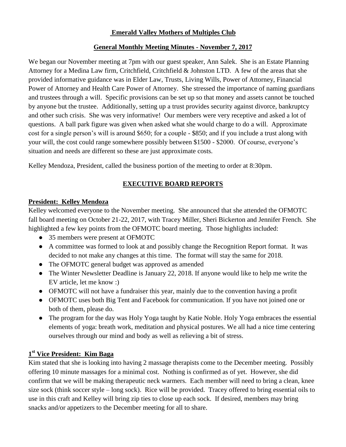## **Emerald Valley Mothers of Multiples Club**

## **General Monthly Meeting Minutes - November 7, 2017**

We began our November meeting at 7pm with our guest speaker, Ann Salek. She is an Estate Planning Attorney for a Medina Law firm, Critchfield, Critchfield & Johnston LTD. A few of the areas that she provided informative guidance was in Elder Law, Trusts, Living Wills, Power of Attorney, Financial Power of Attorney and Health Care Power of Attorney. She stressed the importance of naming guardians and trustees through a will. Specific provisions can be set up so that money and assets cannot be touched by anyone but the trustee. Additionally, setting up a trust provides security against divorce, bankruptcy and other such crisis. She was very informative! Our members were very receptive and asked a lot of questions. A ball park figure was given when asked what she would charge to do a will. Approximate cost for a single person's will is around \$650; for a couple - \$850; and if you include a trust along with your will, the cost could range somewhere possibly between \$1500 - \$2000. Of course, everyone's situation and needs are different so these are just approximate costs.

Kelley Mendoza, President, called the business portion of the meeting to order at 8:30pm.

## **EXECUTIVE BOARD REPORTS**

## **President: Kelley Mendoza**

Kelley welcomed everyone to the November meeting. She announced that she attended the OFMOTC fall board meeting on October 21-22, 2017, with Tracey Miller, Sheri Bickerton and Jennifer French. She highlighted a few key points from the OFMOTC board meeting. Those highlights included:

- 35 members were present at OFMOTC
- A committee was formed to look at and possibly change the Recognition Report format. It was decided to not make any changes at this time. The format will stay the same for 2018.
- The OFMOTC general budget was approved as amended
- The Winter Newsletter Deadline is January 22, 2018. If anyone would like to help me write the EV article, let me know :)
- OFMOTC will not have a fundraiser this year, mainly due to the convention having a profit
- OFMOTC uses both Big Tent and Facebook for communication. If you have not joined one or both of them, please do.
- The program for the day was Holy Yoga taught by Katie Noble. Holy Yoga embraces the essential elements of yoga: breath work, meditation and physical postures. We all had a nice time centering ourselves through our mind and body as well as relieving a bit of stress.

# **1 st Vice President: Kim Baga**

Kim stated that she is looking into having 2 massage therapists come to the December meeting. Possibly offering 10 minute massages for a minimal cost. Nothing is confirmed as of yet. However, she did confirm that we will be making therapeutic neck warmers. Each member will need to bring a clean, knee size sock (think soccer style – long sock). Rice will be provided. Tracey offered to bring essential oils to use in this craft and Kelley will bring zip ties to close up each sock. If desired, members may bring snacks and/or appetizers to the December meeting for all to share.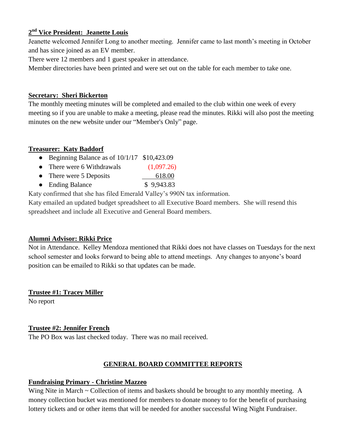# **2 nd Vice President: Jeanette Louis**

Jeanette welcomed Jennifer Long to another meeting. Jennifer came to last month's meeting in October and has since joined as an EV member.

There were 12 members and 1 guest speaker in attendance.

Member directories have been printed and were set out on the table for each member to take one.

## **Secretary: Sheri Bickerton**

The monthly meeting minutes will be completed and emailed to the club within one week of every meeting so if you are unable to make a meeting, please read the minutes. Rikki will also post the meeting minutes on the new website under our "Member's Only" page.

## **Treasurer: Katy Baddorf**

- Beginning Balance as of 10/1/17 \$10,423.09
- There were 6 Withdrawals (1,097.26)
- There were 5 Deposits 18.00
- Ending Balance \$ 9,943.83

Katy confirmed that she has filed Emerald Valley's 990N tax information.

Katy emailed an updated budget spreadsheet to all Executive Board members. She will resend this spreadsheet and include all Executive and General Board members.

## **Alumni Advisor: Rikki Price**

Not in Attendance. Kelley Mendoza mentioned that Rikki does not have classes on Tuesdays for the next school semester and looks forward to being able to attend meetings. Any changes to anyone's board position can be emailed to Rikki so that updates can be made.

**Trustee #1: Tracey Miller**

No report

## **Trustee #2: Jennifer French**

The PO Box was last checked today. There was no mail received.

## **GENERAL BOARD COMMITTEE REPORTS**

## **Fundraising Primary - Christine Mazzeo**

Wing Nite in March ~ Collection of items and baskets should be brought to any monthly meeting. A money collection bucket was mentioned for members to donate money to for the benefit of purchasing lottery tickets and or other items that will be needed for another successful Wing Night Fundraiser.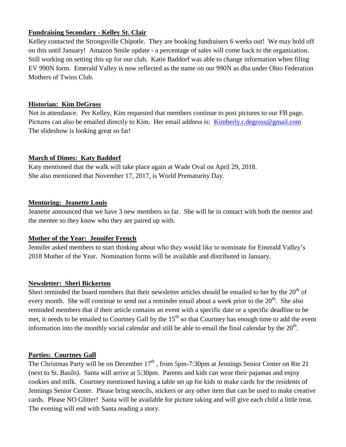## **Fundraising Secondary - Kelley St. Clair**

Kelley contacted the Strongsville Chipotle. They are booking fundraisers 6 weeks out! We may hold off on this until January! Amazon Smile update - a percentage of sales will come back to the organization. Still working on setting this up for our club. Katie Baddorf was able to change information when filing EV 990N form. Emerald Valley is now reflected as the name on our 990N as dba under Ohio Federation Mothers of Twins Club.

### **Historian: Kim DeGross**

Not in attendance. Per Kelley, Kim requested that members continue to post pictures to our FB page. Pictures can also be emailed directly to Kim. Her email address is: [Kimberly.r.degross@gmail.com](mailto:Kimberly.r.degross@gmail.com) The slideshow is looking great so far!

#### **March of Dimes: Katy Baddorf**

Katy mentioned that the walk will take place again at Wade Oval on April 29, 2018. She also mentioned that November 17, 2017, is World Prematurity Day.

#### **Mentoring: Jeanette Louis**

Jeanette announced that we have 3 new members so far. She will be in contact with both the mentor and the mentee so they know who they are paired up with.

#### **Mother of the Year: Jennifer French**

Jennifer asked members to start thinking about who they would like to nominate for Emerald Valley's 2018 Mother of the Year. Nomination forms will be available and distributed in January.

## **Newsletter: Sheri Bickerton**

Sheri reminded the board members that their newsletter articles should be emailed to her by the 20<sup>th</sup> of every month. She will continue to send out a reminder email about a week prior to the 20<sup>th</sup>. She also reminded members that if their article contains an event with a specific date or a specific deadline to be met, it needs to be emailed to Courtney Gall by the 15<sup>th</sup> so that Courtney has enough time to add the event information into the monthly social calendar and still be able to email the final calendar by the  $20<sup>th</sup>$ .

## **Parties: Courtney Gall**

The Christmas Party will be on December  $17<sup>th</sup>$ , from 5pm-7:30pm at Jennings Senior Center on Rte 21 (next to St. Basils). Santa will arrive at 5:30pm. Parents and kids can wear their pajamas and enjoy cookies and milk. Courtney mentioned having a table set up for kids to make cards for the residents of Jennings Senior Center. Please bring stencils, stickers or any other item that can be used to make creative cards. Please NO Glitter! Santa will be available for picture taking and will give each child a little treat. The evening will end with Santa reading a story.